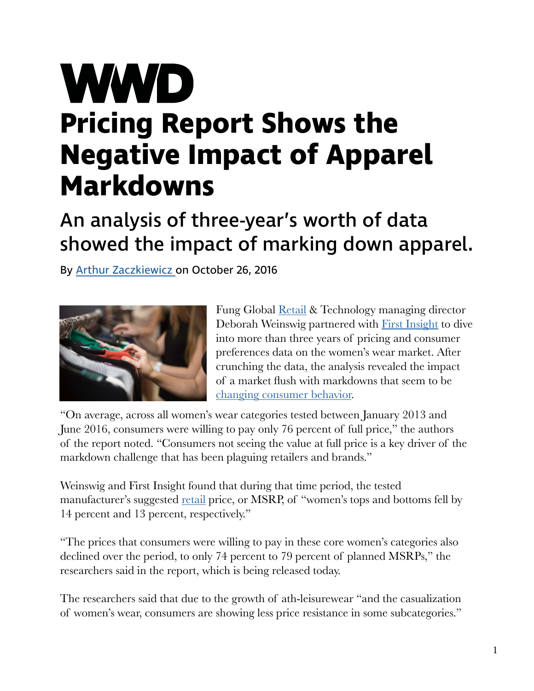## **WWD Pricing Report Shows the Negative Impact of Apparel Markdowns**

## An analysis of three-year's worth of data showed the impact of marking down apparel.

By [Arthur Zaczkiewicz](http://wwd.com/wwd-masthead/arthur-zaczkiewicz/) on October 26, 2016



Fung Global [Retail](http://wwd.com/tag/retail-2/) & Technology managing director Deborah Weinswig partnered with [First Insight](http://wwd.com/business-news/retail/camuto-group-first-insight-tool-10616683/#icn=wwd-hyperlink&ici=10690630_link1) to dive into more than three years of pricing and consumer preferences data on the women's wear market. After crunching the data, the analysis revealed the impact of a market fush with markdowns that seem to be [changing consumer behavior.](http://wwd.com/business-news/business-features/poll-consumers-reveal-top-25-brand-loyalty-leaders-brand-keys-10681574/#icn=wwd-hyperlink&ici=10690630_link2)

"On average, across all women's wear categories tested between January 2013 and June 2016, consumers were willing to pay only 76 percent of full price," the authors of the report noted. "Consumers not seeing the value at full price is a key driver of the markdown challenge that has been plaguing retailers and brands."

Weinswig and First Insight found that during that time period, the tested manufacturer's suggested [retail](http://wwd.com/fashion-news/fashion-scoops/sequential-brands-partnered-guirenniao-expand-and1-basketball-brand-china-apparel-footwear-fashion-scoop-sports-retail-10690809/) price, or MSRP, of "women's tops and bottoms fell by 14 percent and 13 percent, respectively."

"The prices that consumers were willing to pay in these core women's categories also declined over the period, to only 74 percent to 79 percent of planned MSRPs," the researchers said in the report, which is being released today.

The researchers said that due to the growth of ath-leisurewear "and the casualization of women's wear, consumers are showing less price resistance in some subcategories."